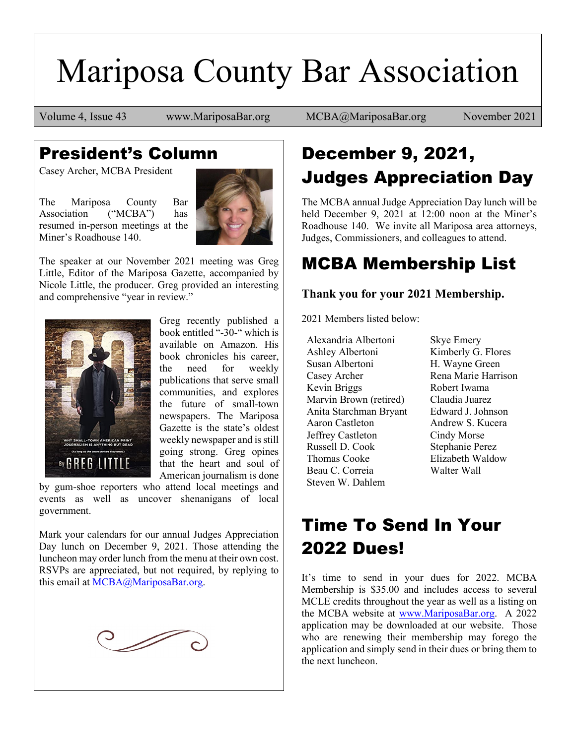# Mariposa County Bar Association

Volume 4, Issue 43 www.MariposaBar.org MCBA@MariposaBar.org November 2021

### President's Column

Casey Archer, MCBA President

The Mariposa County Bar Association ("MCBA") has resumed in-person meetings at the Miner's Roadhouse 140.



The speaker at our November 2021 meeting was Greg Little, Editor of the Mariposa Gazette, accompanied by Nicole Little, the producer. Greg provided an interesting and comprehensive "year in review."



Greg recently published a book entitled "-30-" which is available on Amazon. His book chronicles his career, the need for weekly publications that serve small communities, and explores the future of small-town newspapers. The Mariposa Gazette is the state's oldest weekly newspaper and is still going strong. Greg opines that the heart and soul of American journalism is done

by gum-shoe reporters who attend local meetings and events as well as uncover shenanigans of local government.

Mark your calendars for our annual Judges Appreciation Day lunch on December 9, 2021. Those attending the luncheon may order lunch from the menu at their own cost. RSVPs are appreciated, but not required, by replying to this email at [MCBA@MariposaBar.org.](mailto:MCBA@MariposaBar.org)



### December 9, 2021, Judges Appreciation Day

The MCBA annual Judge Appreciation Day lunch will be held December 9, 2021 at 12:00 noon at the Miner's Roadhouse 140. We invite all Mariposa area attorneys, Judges, Commissioners, and colleagues to attend.

### MCBA Membership List

#### **Thank you for your 2021 Membership.**

2021 Members listed below:

Alexandria Albertoni Ashley Albertoni Susan Albertoni Casey Archer Kevin Briggs Marvin Brown (retired) Anita Starchman Bryant Aaron Castleton Jeffrey Castleton Russell D. Cook Thomas Cooke Beau C. Correia Steven W. Dahlem

Skye Emery Kimberly G. Flores H. Wayne Green Rena Marie Harrison Robert Iwama Claudia Juarez Edward J. Johnson Andrew S. Kucera Cindy Morse Stephanie Perez Elizabeth Waldow Walter Wall

### Time To Send In Your 2022 Dues!

It's time to send in your dues for 2022. MCBA Membership is \$35.00 and includes access to several MCLE credits throughout the year as well as a listing on the MCBA website at [www.MariposaBar.org.](http://www.mariposabar.org/) A 2022 application may be downloaded at our website. Those who are renewing their membership may forego the application and simply send in their dues or bring them to the next luncheon.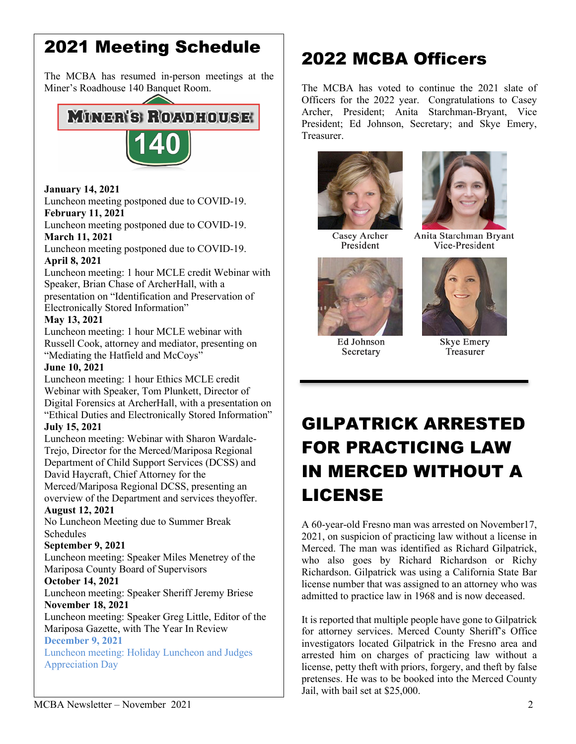### 2021 Meeting Schedule

The MCBA has resumed in-person meetings at the Miner's Roadhouse 140 Banquet Room.

### **MINER'S ROADHOUSE**



#### **January 14, 2021**

Luncheon meeting postponed due to COVID-19. **February 11, 2021** 

Luncheon meeting postponed due to COVID-19. **March 11, 2021** 

#### Luncheon meeting postponed due to COVID-19. **April 8, 2021**

Luncheon meeting: 1 hour MCLE credit Webinar with Speaker, Brian Chase of ArcherHall, with a presentation on "Identification and Preservation of Electronically Stored Information"

#### **May 13, 2021**

Luncheon meeting: 1 hour MCLE webinar with Russell Cook, attorney and mediator, presenting on "Mediating the Hatfield and McCoys"

#### **June 10, 2021**

Luncheon meeting: 1 hour Ethics MCLE credit Webinar with Speaker, Tom Plunkett, Director of Digital Forensics at ArcherHall, with a presentation on "Ethical Duties and Electronically Stored Information"

#### **July 15, 2021**

Luncheon meeting: Webinar with Sharon Wardale-Trejo, Director for the Merced/Mariposa Regional Department of Child Support Services (DCSS) and David Haycraft, Chief Attorney for the

Merced/Mariposa Regional DCSS, presenting an overview of the Department and services theyoffer.

#### **August 12, 2021**

No Luncheon Meeting due to Summer Break Schedules

#### **September 9, 2021**

Luncheon meeting: Speaker Miles Menetrey of the Mariposa County Board of Supervisors

#### **October 14, 2021**

Luncheon meeting: Speaker Sheriff Jeremy Briese **November 18, 2021** 

#### Luncheon meeting: Speaker Greg Little, Editor of the Mariposa Gazette, with The Year In Review

#### **December 9, 2021**

Luncheon meeting: Holiday Luncheon and Judges Appreciation Day

### 2022 MCBA Officers

The MCBA has voted to continue the 2021 slate of Officers for the 2022 year. Congratulations to Casey Archer, President; Anita Starchman-Bryant, Vice President; Ed Johnson, Secretary; and Skye Emery, Treasurer.



Casey Archer President



Anita Starchman Bryant Vice-President



Ed Johnson Secretary



**Skye Emery** Treasurer

### GILPATRICK ARRESTED FOR PRACTICING LAW IN MERCED WITHOUT A LICENSE

A 60-year-old Fresno man was arrested on November17, 2021, on suspicion of practicing law without a license in Merced. The man was identified as Richard Gilpatrick, who also goes by Richard Richardson or Richy Richardson. Gilpatrick was using a California State Bar license number that was assigned to an attorney who was admitted to practice law in 1968 and is now deceased.

It is reported that multiple people have gone to Gilpatrick for attorney services. Merced County Sheriff's Office investigators located Gilpatrick in the Fresno area and arrested him on charges of practicing law without a license, petty theft with priors, forgery, and theft by false pretenses. He was to be booked into the Merced County Jail, with bail set at \$25,000.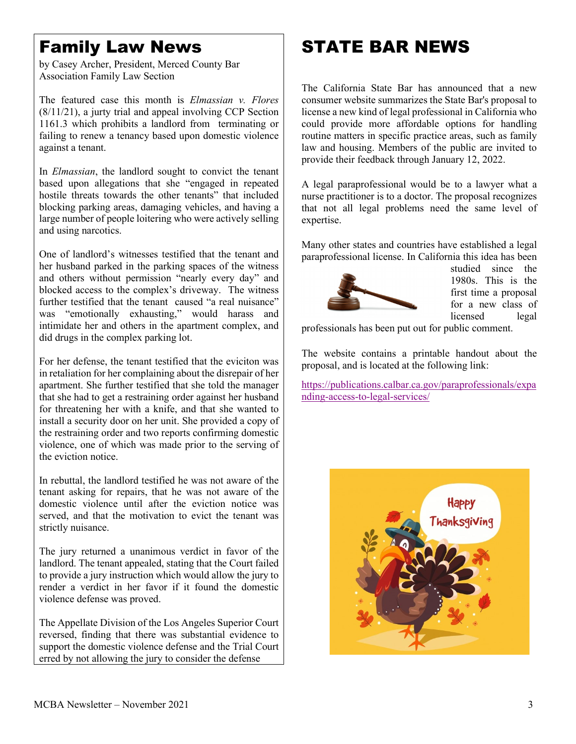### Family Law News

by Casey Archer, President, Merced County Bar Association Family Law Section

The featured case this month is *Elmassian v. Flores* (8/11/21), a jurty trial and appeal involving CCP Section 1161.3 which prohibits a landlord from terminating or failing to renew a tenancy based upon domestic violence against a tenant.

In *Elmassian*, the landlord sought to convict the tenant based upon allegations that she "engaged in repeated hostile threats towards the other tenants" that included blocking parking areas, damaging vehicles, and having a large number of people loitering who were actively selling and using narcotics.

One of landlord's witnesses testified that the tenant and her husband parked in the parking spaces of the witness and others without permission "nearly every day" and blocked access to the complex's driveway. The witness further testified that the tenant caused "a real nuisance" was "emotionally exhausting," would harass and intimidate her and others in the apartment complex, and did drugs in the complex parking lot.

For her defense, the tenant testified that the eviciton was in retaliation for her complaining about the disrepair of her apartment. She further testified that she told the manager that she had to get a restraining order against her husband for threatening her with a knife, and that she wanted to install a security door on her unit. She provided a copy of the restraining order and two reports confirming domestic violence, one of which was made prior to the serving of the eviction notice.

In rebuttal, the landlord testified he was not aware of the tenant asking for repairs, that he was not aware of the domestic violence until after the eviction notice was served, and that the motivation to evict the tenant was strictly nuisance.

The jury returned a unanimous verdict in favor of the landlord. The tenant appealed, stating that the Court failed to provide a jury instruction which would allow the jury to render a verdict in her favor if it found the domestic violence defense was proved.

The Appellate Division of the Los Angeles Superior Court reversed, finding that there was substantial evidence to support the domestic violence defense and the Trial Court erred by not allowing the jury to consider the defense

### STATE BAR NEWS

The California State Bar has announced that a new consumer website summarizes the State Bar's proposal to license a new kind of legal professional in California who could provide more affordable options for handling routine matters in specific practice areas, such as family law and housing. Members of the public are invited to provide their feedback through January 12, 2022.

A legal paraprofessional would be to a lawyer what a nurse practitioner is to a doctor. The proposal recognizes that not all legal problems need the same level of expertise.

Many other states and countries have established a legal paraprofessional license. In California this idea has been



studied since the 1980s. This is the first time a proposal for a new class of licensed legal

professionals has been put out for public comment.

The website contains a printable handout about the proposal, and is located at the following link:

[https://publications.calbar.ca.gov/paraprofessionals/expa](https://publications.calbar.ca.gov/paraprofessionals/expanding-access-to-legal-services/) [nding-access-to-legal-services/](https://publications.calbar.ca.gov/paraprofessionals/expanding-access-to-legal-services/)